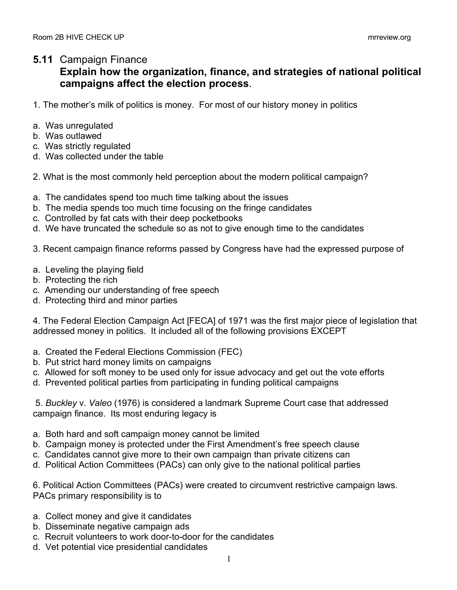## **5.11** Campaign Finance

## **Explain how the organization, finance, and strategies of national political campaigns affect the election process**.

- 1. The mother's milk of politics is money. For most of our history money in politics
- a. Was unregulated
- b. Was outlawed
- c. Was strictly regulated
- d. Was collected under the table
- 2. What is the most commonly held perception about the modern political campaign?
- a. The candidates spend too much time talking about the issues
- b. The media spends too much time focusing on the fringe candidates
- c. Controlled by fat cats with their deep pocketbooks
- d. We have truncated the schedule so as not to give enough time to the candidates

3. Recent campaign finance reforms passed by Congress have had the expressed purpose of

- a. Leveling the playing field
- b. Protecting the rich
- c. Amending our understanding of free speech
- d. Protecting third and minor parties

4. The Federal Election Campaign Act [FECA] of 1971 was the first major piece of legislation that addressed money in politics. It included all of the following provisions EXCEPT

- a. Created the Federal Elections Commission (FEC)
- b. Put strict hard money limits on campaigns
- c. Allowed for soft money to be used only for issue advocacy and get out the vote efforts
- d. Prevented political parties from participating in funding political campaigns

5. *Buckley* v. *Valeo* (1976) is considered a landmark Supreme Court case that addressed campaign finance. Its most enduring legacy is

- a. Both hard and soft campaign money cannot be limited
- b. Campaign money is protected under the First Amendment's free speech clause
- c. Candidates cannot give more to their own campaign than private citizens can
- d. Political Action Committees (PACs) can only give to the national political parties

6. Political Action Committees (PACs) were created to circumvent restrictive campaign laws. PACs primary responsibility is to

- a. Collect money and give it candidates
- b. Disseminate negative campaign ads
- c. Recruit volunteers to work door-to-door for the candidates
- d. Vet potential vice presidential candidates